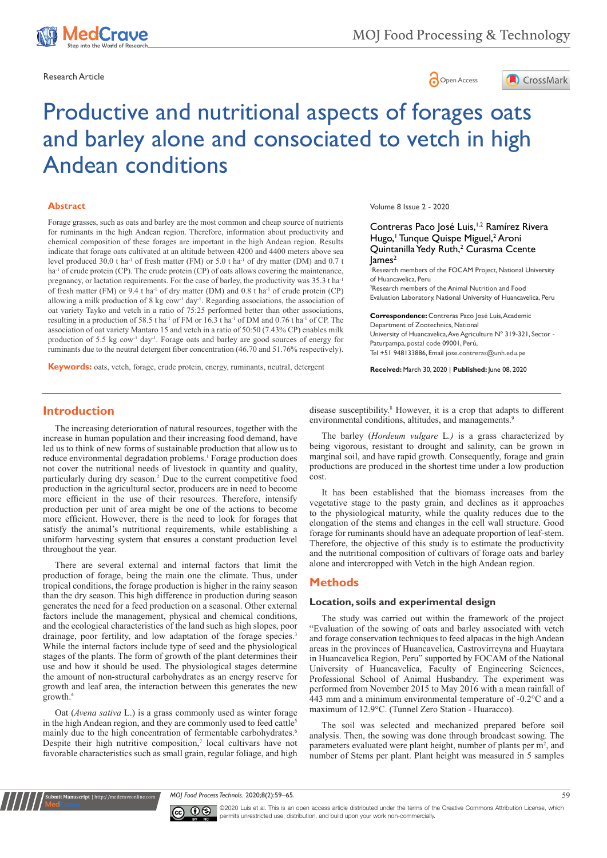



# Productive and nutritional aspects of forages oats and barley alone and consociated to vetch in high Andean conditions

#### **Abstract**

Forage grasses, such as oats and barley are the most common and cheap source of nutrients for ruminants in the high Andean region. Therefore, information about productivity and chemical composition of these forages are important in the high Andean region. Results indicate that forage oats cultivated at an altitude between 4200 and 4400 meters above sea level produced 30.0 t ha<sup>-1</sup> of fresh matter (FM) or 5.0 t ha<sup>-1</sup> of dry matter (DM) and 0.7 t ha<sup>-1</sup> of crude protein (CP). The crude protein (CP) of oats allows covering the maintenance, pregnancy, or lactation requirements. For the case of barley, the productivity was 35.3 t haof fresh matter (FM) or 9.4 t ha-1 of dry matter (DM) and 0.8 t ha-1 of crude protein (CP) allowing a milk production of 8 kg cow<sup>-1</sup> day<sup>-1</sup>. Regarding associations, the association of oat variety Tayko and vetch in a ratio of 75:25 performed better than other associations, resulting in a production of 58.5 t ha<sup>-1</sup> of FM or 16.3 t ha<sup>-1</sup> of DM and 0.76 t ha<sup>-1</sup> of CP. The association of oat variety Mantaro 15 and vetch in a ratio of 50:50 (7.43% CP) enables milk production of 5.5 kg cow<sup>-1</sup> day<sup>-1</sup>. Forage oats and barley are good sources of energy for ruminants due to the neutral detergent fiber concentration (46.70 and 51.76% respectively).

**Keywords:** oats, vetch, forage, crude protein, energy, ruminants, neutral, detergent

Volume 8 Issue 2 - 2020

#### Contreras Paco José Luis,<sup>1,2</sup> Ramírez Rivera Hugo,<sup>†</sup> Tunque Quispe Miguel,<sup>2</sup> Aroni Quintanilla Yedy Ruth,<sup>2</sup> Curasma Ccente  $lames<sup>2</sup>$

1 Research members of the FOCAM Project, National University of Huancavelica, Peru

2 Research members of the Animal Nutrition and Food Evaluation Laboratory, National University of Huancavelica, Peru

**Correspondence:** Contreras Paco José Luis, Academic Department of Zootechnics, National University of Huancavelica, Ave Agriculture Nº 319-321, Sector - Paturpampa, postal code 09001, Perú, Tel +51 948133886, Email jose.contreras@unh.edu.pe

**Received:** March 30, 2020 | **Published:** June 08, 2020

### **Introduction**

The increasing deterioration of natural resources, together with the increase in human population and their increasing food demand, have led us to think of new forms of sustainable production that allow us to reduce environmental degradation problems.<sup>1</sup> Forage production does not cover the nutritional needs of livestock in quantity and quality, particularly during dry season.<sup>2</sup> Due to the current competitive food production in the agricultural sector, producers are in need to become more efficient in the use of their resources. Therefore, intensify production per unit of area might be one of the actions to become more efficient. However, there is the need to look for forages that satisfy the animal's nutritional requirements, while establishing a uniform harvesting system that ensures a constant production level throughout the year.

There are several external and internal factors that limit the production of forage, being the main one the climate. Thus, under tropical conditions, the forage production is higher in the rainy season than the dry season. This high difference in production during season generates the need for a feed production on a seasonal. Other external factors include the management, physical and chemical conditions, and the ecological characteristics of the land such as high slopes, poor drainage, poor fertility, and low adaptation of the forage species.<sup>3</sup> While the internal factors include type of seed and the physiological stages of the plants. The form of growth of the plant determines their use and how it should be used. The physiological stages determine the amount of non-structural carbohydrates as an energy reserve for growth and leaf area, the interaction between this generates the new growth.4

Oat (*Avena sativa* L.) is a grass commonly used as winter forage in the high Andean region, and they are commonly used to feed cattle<sup>5</sup> mainly due to the high concentration of fermentable carbohydrates.<sup>6</sup> Despite their high nutritive composition, $\bar{y}$  local cultivars have not favorable characteristics such as small grain, regular foliage, and high

**Krit Manuscript** | http://medcraveonline.c

disease susceptibility.<sup>8</sup> However, it is a crop that adapts to different environmental conditions, altitudes, and managements.<sup>9</sup>

The barley (*Hordeum vulgare* L*.)* is a grass characterized by being vigorous, resistant to drought and salinity, can be grown in marginal soil, and have rapid growth. Consequently, forage and grain productions are produced in the shortest time under a low production cost.

It has been established that the biomass increases from the vegetative stage to the pasty grain, and declines as it approaches to the physiological maturity, while the quality reduces due to the elongation of the stems and changes in the cell wall structure. Good forage for ruminants should have an adequate proportion of leaf-stem. Therefore, the objective of this study is to estimate the productivity and the nutritional composition of cultivars of forage oats and barley alone and intercropped with Vetch in the high Andean region.

#### **Methods**

#### **Location, soils and experimental design**

The study was carried out within the framework of the project "Evaluation of the sowing of oats and barley associated with vetch and forage conservation techniques to feed alpacas in the high Andean areas in the provinces of Huancavelica, Castrovirreyna and Huaytara in Huancavelica Region, Peru" supported by FOCAM of the National University of Huancavelica, Faculty of Engineering Sciences, Professional School of Animal Husbandry. The experiment was performed from November 2015 to May 2016 with a mean rainfall of 443 mm and a minimum environmental temperature of -0.2°C and a maximum of 12.9°C. (Tunnel Zero Station - Huaracco).

The soil was selected and mechanized prepared before soil analysis. Then, the sowing was done through broadcast sowing. The parameters evaluated were plant height, number of plants per  $m<sup>2</sup>$ , and number of Stems per plant. Plant height was measured in 5 samples

*MOJ Food Process Technols.* 2020;8(2):59‒65. 59



©2020 Luis et al. This is an open access article distributed under the terms of the [Creative Commons Attribution License](https://creativecommons.org/licenses/by-nc/4.0/), which permits unrestricted use, distribution, and build upon your work non-commercially.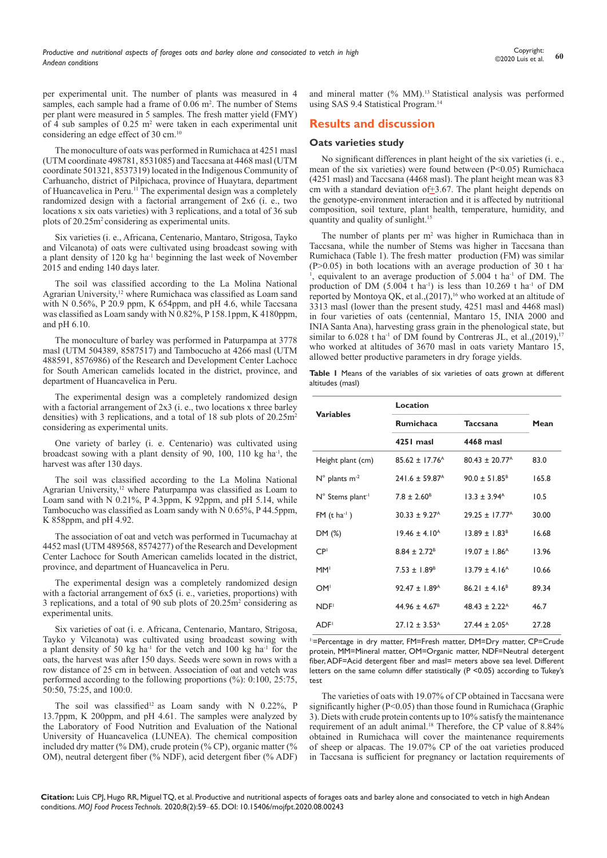per experimental unit. The number of plants was measured in 4 samples, each sample had a frame of 0.06 m<sup>2</sup>. The number of Stems per plant were measured in 5 samples. The fresh matter yield (FMY) of 4 sub samples of  $0.25$  m<sup>2</sup> were taken in each experimental unit considering an edge effect of 30 cm.<sup>10</sup>

The monoculture of oats was performed in Rumichaca at 4251 masl (UTM coordinate  $498781$ ,  $8531085$ ) and Taccsana at  $4468$  masl (UTM coordinate 501321, 8537319) located in the Indigenous Community of Carhuancho, district of Pilpichaca, province of Huaytara, department of Huancavelica in Peru.11 The experimental design was a completely randomized design with a factorial arrangement of 2x6 (i. e., two locations x six oats varieties) with 3 replications, and a total of 36 sub plots of 20.25m<sup>2</sup> considering as experimental units.

Six varieties (i. e., Africana, Centenario, Mantaro, Strigosa, Tayko and Vilcanota) of oats were cultivated using broadcast sowing with a plant density of 120 kg ha-1 beginning the last week of November 2015 and ending 140 days later.

The soil was classified according to the La Molina National Agrarian University,<sup>12</sup> where Rumichaca was classified as Loam sand with N 0.56%, P 20.9 ppm, K 654ppm, and pH 4.6, while Taccsana was classified as Loam sandy with N 0.82%, P 158.1ppm, K 4180ppm, and pH 6.10.

The monoculture of barley was performed in Paturpampa at 3778 masl (UTM 504389, 8587517) and Tambocucho at 4266 masl (UTM 488591, 8576986) of the Research and Development Center Lachocc for South American camelids located in the district, province, and department of Huancavelica in Peru.

The experimental design was a completely randomized design with a factorial arrangement of  $2x3$  (i. e., two locations x three barley densities) with 3 replications, and a total of 18 sub plots of 20.25m<sup>2</sup> considering as experimental units.

One variety of barley (i. e. Centenario) was cultivated using broadcast sowing with a plant density of 90, 100, 110 kg ha-1, the harvest was after 130 days.

The soil was classified according to the La Molina National Agrarian University,<sup>12</sup> where Paturpampa was classified as Loam to Loam sand with N  $0.21\%$ , P 4.3ppm, K 92ppm, and pH 5.14, while Tambocucho was classified as Loam sandy with N 0.65%, P 44.5ppm, K 858ppm, and pH 4.92.

The association of oat and vetch was performed in Tucumachay at 4452 masl (UTM 489568, 8574277) of the Research and Development Center Lachocc for South American camelids located in the district, province, and department of Huancavelica in Peru.

The experimental design was a completely randomized design with a factorial arrangement of 6x5 (i. e., varieties, proportions) with 3 replications, and a total of 90 sub plots of 20.25m<sup>2</sup> considering as experimental units.

Six varieties of oat (i. e. Africana, Centenario, Mantaro, Strigosa, Tayko y Vilcanota) was cultivated using broadcast sowing with a plant density of 50 kg ha<sup>-1</sup> for the vetch and 100 kg ha<sup>-1</sup> for the oats, the harvest was after 150 days. Seeds were sown in rows with a row distance of 25 cm in between. Association of oat and vetch was performed according to the following proportions (%): 0:100, 25:75, 50:50, 75:25, and 100:0.

The soil was classified<sup>12</sup> as Loam sandy with N 0.22%, P 13.7ppm, K 200ppm, and pH 4.61. The samples were analyzed by the Laboratory of Food Nutrition and Evaluation of the National University of Huancavelica (LUNEA). The chemical composition included dry matter (% DM), crude protein (% CP), organic matter (% OM), neutral detergent fiber (% NDF), acid detergent fiber (% ADF) and mineral matter (% MM).<sup>13</sup> Statistical analysis was performed using SAS 9.4 Statistical Program.<sup>14</sup>

## **Results and discussion**

#### **Oats varieties study**

No significant differences in plant height of the six varieties (i. e., mean of the six varieties) were found between (P<0.05) Rumichaca (4251 masl) and Taccsana (4468 masl). The plant height mean was 83 cm with a standard deviation of  $\pm 3.67$ . The plant height depends on the genotype-environment interaction and it is affected by nutritional composition, soil texture, plant health, temperature, humidity, and quantity and quality of sunlight.<sup>15</sup>

The number of plants per  $m<sup>2</sup>$  was higher in Rumichaca than in Taccsana, while the number of Stems was higher in Taccsana than Rumichaca (Table 1). The fresh matter production (FM) was similar  $(P>0.05)$  in both locations with an average production of 30 t ha-<sup>1</sup>, equivalent to an average production of 5.004 t ha<sup>-1</sup> of DM. The production of DM  $(5.004 \text{ t} \text{ ha}^{-1})$  is less than 10.269 t ha<sup>-1</sup> of DM reported by Montoya QK, et al.,  $(2017)$ , <sup>16</sup> who worked at an altitude of 3313 masl (lower than the present study, 4251 masl and 4468 masl) in four varieties of oats (centennial, Mantaro 15, INIA 2000 and INIA Santa Ana), harvesting grass grain in the phenological state, but similar to  $6.028$  t ha<sup>-1</sup> of DM found by Contreras JL, et al.,(2019),<sup>17</sup> who worked at altitudes of 3670 masl in oats variety Mantaro 15, allowed better productive parameters in dry forage yields.

**Table 1** Means of the variables of six varieties of oats grown at different altitudes (masl)

| <b>Variables</b>                   | Location                       |                                |       |
|------------------------------------|--------------------------------|--------------------------------|-------|
|                                    | <b>Rumichaca</b>               | <b>Taccsana</b>                | Mean  |
|                                    | 4251 masl                      | 4468 masl                      |       |
| Height plant (cm)                  | $85.62 \pm 17.76$ <sup>A</sup> | $80.43 + 20.77A$               | 83.0  |
| $N^{\circ}$ plants m <sup>-2</sup> | $241.6 \pm 59.87$ <sup>A</sup> | $90.0 \pm 51.85^8$             | 165.8 |
| N° Stems plant <sup>-1</sup>       | $7.8 \pm 2.60^8$               | $13.3 + 3.94$ <sup>A</sup>     | 10.5  |
| $FM$ (t ha <sup>-1</sup> )         | $30.33 \pm 9.27$ <sup>A</sup>  | $29.25 \pm 17.77$ <sup>A</sup> | 30.00 |
| DM (%)                             | $19.46 \pm 4.10^{\circ}$       | $13.89 \pm 1.83^8$             | 16.68 |
| CP <sup>1</sup>                    | $8.84 \pm 2.72$ <sup>B</sup>   | $19.07 \pm 1.86$ <sup>A</sup>  | 13.96 |
| MM <sup>I</sup>                    | $7.53 \pm 1.89^B$              | $13.79 + 4.16A$                | 10.66 |
| OM <sup>1</sup>                    | $92.47 + 1.89A$                | $86.21 + 4.16B$                | 89.34 |
| NDF <sup>1</sup>                   | $44.96 + 4.67B$                | $48.43 + 2.22^{\circ}$         | 46.7  |
| <b>ADF</b>                         | $27.12 + 3.53A$                | $27.44 + 2.05A$                | 27.28 |

1:=Percentage in dry matter, FM=Fresh matter, DM=Dry matter, CP=Crude protein, MM=Mineral matter, OM=Organic matter, NDF=Neutral detergent fiber, ADF=Acid detergent fiber and masl= meters above sea level. Different letters on the same column differ statistically (P <0.05) according to Tukey's test

The varieties of oats with 19.07% of CP obtained in Taccsana were significantly higher (P<0.05) than those found in Rumichaca (Graphic 3). Diets with crude protein contents up to 10% satisfy the maintenance requirement of an adult animal.<sup>18</sup> Therefore, the CP value of 8.84% obtained in Rumichaca will cover the maintenance requirements of sheep or alpacas. The 19.07% CP of the oat varieties produced in Taccsana is sufficient for pregnancy or lactation requirements of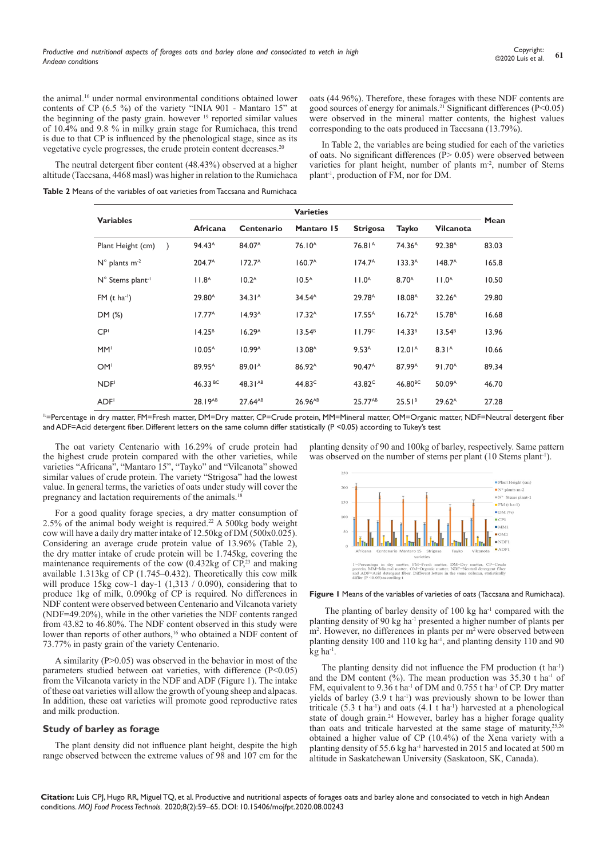the animal.<sup>16</sup> under normal environmental conditions obtained lower contents of CP (6.5 %) of the variety "INIA 901 - Mantaro 15" at the beginning of the pasty grain. however  $19$  reported similar values of 10.4% and 9.8 % in milky grain stage for Rumichaca, this trend is due to that CP is influenced by the phenological stage, since as its vegetative cycle progresses, the crude protein content decreases.<sup>20</sup>

oats (44.96%). Therefore, these forages with these NDF contents are good sources of energy for animals.<sup>21</sup> Significant differences ( $P < 0.05$ ) were observed in the mineral matter contents, the highest values corresponding to the oats produced in Taccsana (13.79%).

In Table 2, the variables are being studied for each of the varieties of oats. No significant differences (P> 0.05) were observed between varieties for plant height, number of plants m<sup>-2</sup>, number of Stems plant-1, production of FM, nor for DM.

altitude (Taccsana, 4468 masl) was higher in relation to the Rumichaca **Table 2** Means of the variables of oat varieties from Taccsana and Rumichaca

The neutral detergent fiber content (48.43%) observed at a higher

|                                       | <b>Varieties</b>    |                     |                               |                    |                       |                    |       |  |
|---------------------------------------|---------------------|---------------------|-------------------------------|--------------------|-----------------------|--------------------|-------|--|
| <b>Variables</b>                      | Africana            | Centenario          | Mantaro 15<br><b>Strigosa</b> |                    | Tayko                 | <b>Vilcanota</b>   | Mean  |  |
| Plant Height (cm)                     | 94.43 <sup>A</sup>  | 84.07 <sup>A</sup>  | 76.10 <sup>A</sup>            | 76.81 <sup>A</sup> | 74.36 <sup>A</sup>    | 92.38 <sup>A</sup> | 83.03 |  |
| $N^{\circ}$ plants m <sup>-2</sup>    | 204.7 <sup>A</sup>  | $172.7^{\circ}$     | 160.7 <sup>A</sup>            | $174.7^{\circ}$    | $133.3^A$             | $148.7^{\text{A}}$ | 165.8 |  |
| $N^{\circ}$ Stems plant <sup>-1</sup> | 11.8 <sup>A</sup>   | 10.2 <sup>A</sup>   | 10.5 <sup>A</sup>             | 11.0 <sup>A</sup>  | 8.70 <sup>A</sup>     | 11.0 <sup>A</sup>  | 10.50 |  |
| $FM$ (t ha <sup>-1</sup> )            | 29.80 <sup>A</sup>  | 34.31 <sup>A</sup>  | $34.54^{\text{A}}$            | 29.78 <sup>A</sup> | 18.08 <sup>A</sup>    | 32.26 <sup>A</sup> | 29.80 |  |
| DM (%)                                | $17.77^{\text{A}}$  | 14.93 <sup>A</sup>  | 17.32 <sup>A</sup>            | $17.55^{\text{A}}$ | 16.72 <sup>A</sup>    | 15.78 <sup>A</sup> | 16.68 |  |
| CP <sup>1</sup>                       | 14.25 <sup>B</sup>  | 16.29 <sup>A</sup>  | 13.54 <sup>B</sup>            | 11.79 <sup>c</sup> | 14.33 <sup>B</sup>    | 13.54 <sup>B</sup> | 13.96 |  |
| MM'                                   | 10.05 <sup>A</sup>  | 10.99 <sup>A</sup>  | 13.08 <sup>A</sup>            | $9.53^{A}$         | 12.01 <sup>A</sup>    | 8.31 <sup>A</sup>  | 10.66 |  |
| OM <sup>1</sup>                       | 89.95 <sup>A</sup>  | 89.01 <sup>A</sup>  | 86.92 <sup>A</sup>            | 90.47 <sup>A</sup> | 87.99 <sup>A</sup>    | 91.70 <sup>A</sup> | 89.34 |  |
| NDF <sup>1</sup>                      | 46.33 <sup>BC</sup> | 48.31 <sup>AB</sup> | 44.83 <sup>c</sup>            | 43.82 <sup>c</sup> | $46.80$ <sub>BC</sub> | 50.09 <sup>A</sup> | 46.70 |  |
| ADF <sup>1</sup>                      | 28.19AB             | 27.64AB             | 26.96 <sup>AB</sup>           | 25.77AB            | 25.51 <sup>B</sup>    | $29.62^{\text{A}}$ | 27.28 |  |

<sup>1:</sup>=Percentage in dry matter, FM=Fresh matter, DM=Dry matter, CP=Crude protein, MM=Mineral matter, OM=Organic matter, NDF=Neutral detergent fiber and ADF=Acid detergent fiber. Different letters on the same column differ statistically (P <0.05) according to Tukey's test

The oat variety Centenario with 16.29% of crude protein had the highest crude protein compared with the other varieties, while varieties "Africana", "Mantaro 15", "Tayko" and "Vilcanota" showed similar values of crude protein. The variety "Strigosa" had the lowest value. In general terms, the varieties of oats under study will cover the pregnancy and lactation requirements of the animals.<sup>18</sup>

For a good quality forage species, a dry matter consumption of 2.5% of the animal body weight is required.<sup>22</sup> A 500kg body weight cow will have a daily dry matter intake of 12.50kg of DM (500x0.025). Considering an average crude protein value of 13.96% (Table 2), the dry matter intake of crude protein will be 1.745kg, covering the maintenance requirements of the cow  $(0.432 \text{kg of CP}^{23})$  and making available 1.313kg of CP (1.745–0.432). Theoretically this cow milk will produce  $15kg$  cow-1 day-1  $(1,313 / 0.090)$ , considering that to produce 1kg of milk, 0.090kg of CP is required. No differences in NDF content were observed between Centenario and Vilcanota variety (NDF=49.20%), while in the other varieties the NDF contents ranged from 43.82 to 46.80%. The NDF content observed in this study were lower than reports of other authors,<sup>16</sup> who obtained a NDF content of 73.77% in pasty grain of the variety Centenario.

A similarity  $(P>0.05)$  was observed in the behavior in most of the parameters studied between oat varieties, with difference (P<0.05) from the Vilcanota variety in the NDF and ADF (Figure 1). The intake of these oat varieties will allow the growth of young sheep and alpacas. In addition, these oat varieties will promote good reproductive rates and milk production.

#### **Study of barley as forage**

The plant density did not influence plant height, despite the high range observed between the extreme values of 98 and 107 cm for the planting density of 90 and 100kg of barley, respectively. Same pattern was observed on the number of stems per plant (10 Stems plant<sup>-1</sup>).





The planting of barley density of  $100 \text{ kg}$  ha<sup>-1</sup> compared with the planting density of 90 kg ha-1 presented a higher number of plants per m<sup>2</sup>. However, no differences in plants per m<sup>2</sup> were observed between planting density 100 and 110 kg ha<sup>-1</sup>, and planting density 110 and 90  $k\mathbf{g}$  ha<sup>-1</sup>.

The planting density did not influence the FM production (t ha<sup>-1</sup>) and the DM content  $\frac{6}{6}$ . The mean production was 35.30 t ha<sup>-1</sup> of FM, equivalent to 9.36 t ha<sup>-1</sup> of DM and 0.755 t ha<sup>-1</sup> of CP. Dry matter yields of barley  $(3.9 \text{ t ha}^{-1})$  was previously shown to be lower than triticale  $(5.3 \text{ t} \text{ ha}^{-1})$  and oats  $(4.1 \text{ t} \text{ ha}^{-1})$  harvested at a phenological state of dough grain.<sup>24</sup> However, barley has a higher forage quality than oats and triticale harvested at the same stage of maturity, $25,26$ obtained a higher value of CP (10.4%) of the Xena variety with a planting density of 55.6 kg ha-1 harvested in 2015 and located at 500 m altitude in Saskatchewan University (Saskatoon, SK, Canada).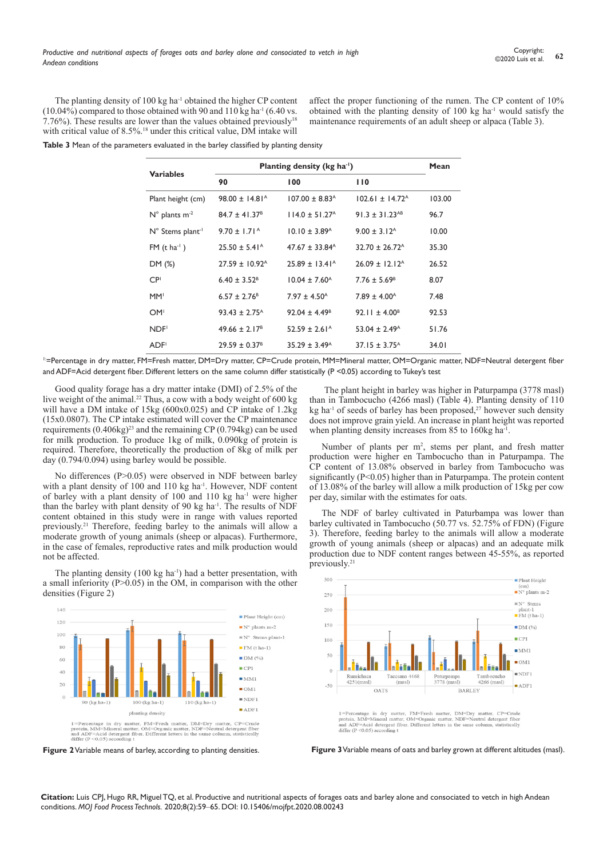The planting density of  $100 \text{ kg}$  ha<sup>-1</sup> obtained the higher CP content  $(10.04\%)$  compared to those obtained with 90 and 110 kg ha<sup>-1</sup> (6.40 vs.) 7.76%). These results are lower than the values obtained previously<sup>18</sup> with critical value of 8.5%.<sup>18</sup> under this critical value, DM intake will affect the proper functioning of the rumen. The CP content of 10% obtained with the planting density of  $100 \text{ kg}$  ha<sup>-1</sup> would satisfy the maintenance requirements of an adult sheep or alpaca (Table 3).

**Table 3** Mean of the parameters evaluated in the barley classified by planting density

| <b>Variables</b>                   | Planting density ( $kg$ ha <sup>-1</sup> ) |                                |                                 |        |  |  |
|------------------------------------|--------------------------------------------|--------------------------------|---------------------------------|--------|--|--|
|                                    | 90                                         | 100                            | 110                             |        |  |  |
| Plant height (cm)                  | $98.00 \pm 14.81$ <sup>A</sup>             | $107.00 \pm 8.83$ <sup>A</sup> | $102.61 \pm 14.72$ <sup>A</sup> | 103.00 |  |  |
| $N^{\circ}$ plants m <sup>-2</sup> | $84.7 \pm 41.37^{\circ}$                   | $114.0 \pm 51.27$ <sup>A</sup> | 91.3 ± 31.23 <sup>AB</sup>      | 96.7   |  |  |
| N° Stems plant <sup>-1</sup>       | $9.70 + 1.71^{\circ}$                      | $10.10 \pm 3.89$ <sup>A</sup>  | $9.00 \pm 3.12$ <sup>A</sup>    | 10.00  |  |  |
| $FM(t \text{ ha}^{-1})$            | $25.50 \pm 5.41^{\circ}$                   | $47.67 + 33.84^{\circ}$        | $32.70 + 26.72A$                | 35.30  |  |  |
| DM (%)                             | $27.59 \pm 10.92$ <sup>A</sup>             | $25.89 \pm 13.41^{\circ}$      | $26.09 \pm 12.12$ <sup>A</sup>  | 26.52  |  |  |
| CP <sup>1</sup>                    | $6.40 \pm 3.52^B$                          | $10.04 \pm 7.60^{\circ}$       | $7.76 \pm 5.69^{\circ}$         | 8.07   |  |  |
| MM <sup>I</sup>                    | $6.57 \pm 2.76$ <sup>B</sup>               | $7.97 \pm 4.50^{\circ}$        | $7.89 \pm 4.00^{\circ}$         | 7.48   |  |  |
| OM <sup>1</sup>                    | $93.43 \pm 2.75$ <sup>A</sup>              | $92.04 \pm 4.49^{\circ}$       | 92.11 ± 4.00 <sup>B</sup>       | 92.53  |  |  |
| NDF <sup>1</sup>                   | $49.66 \pm 2.17^{\circ}$                   | $52.59 \pm 2.61$ <sup>A</sup>  | $53.04 \pm 2.49$ <sup>A</sup>   | 51.76  |  |  |
| ADF <sup>1</sup>                   | $29.59 \pm 0.37^8$                         | $35.29 \pm 3.49^{\circ}$       | $37.15 \pm 3.75^{\circ}$        | 34.01  |  |  |

<sup>1:</sup>=Percentage in dry matter, FM=Fresh matter, DM=Dry matter, CP=Crude protein, MM=Mineral matter, OM=Organic matter, NDF=Neutral detergent fiber and ADF=Acid detergent fiber. Different letters on the same column differ statistically (P <0.05) according to Tukey's test

Good quality forage has a dry matter intake (DMI) of 2.5% of the live weight of the animal.22 Thus, a cow with a body weight of 600 kg will have a DM intake of 15kg (600x0.025) and CP intake of 1.2kg (15x0.0807). The CP intake estimated will cover the CP maintenance requirements (0.406kg)<sup>23</sup> and the remaining CP (0.794kg) can be used for milk production. To produce 1kg of milk, 0.090kg of protein is required. Therefore, theoretically the production of 8kg of milk per day (0.794/0.094) using barley would be possible.

No differences (P>0.05) were observed in NDF between barley with a plant density of  $100$  and  $110$  kg ha<sup>-1</sup>. However, NDF content of barley with a plant density of 100 and 110 kg ha<sup>-1</sup> were higher than the barley with plant density of 90 kg ha<sup>-1</sup>. The results of NDF content obtained in this study were in range with values reported previously.21 Therefore, feeding barley to the animals will allow a moderate growth of young animals (sheep or alpacas). Furthermore, in the case of females, reproductive rates and milk production would not be affected.

The planting density  $(100 \text{ kg ha}^{-1})$  had a better presentation, with a small inferiority  $(P>0.05)$  in the OM, in comparison with the other densities (Figure 2)





The plant height in barley was higher in Paturpampa (3778 masl) than in Tambocucho (4266 masl) (Table 4). Planting density of 110 kg ha<sup>-1</sup> of seeds of barley has been proposed,<sup>27</sup> however such density does not improve grain yield. An increase in plant height was reported when planting density increases from 85 to 160kg ha<sup>-1</sup>.

Number of plants per m<sup>2</sup>, stems per plant, and fresh matter production were higher en Tambocucho than in Paturpampa. The CP content of 13.08% observed in barley from Tambocucho was significantly (P<0.05) higher than in Paturpampa. The protein content of 13.08% of the barley will allow a milk production of 15kg per cow per day, similar with the estimates for oats.

The NDF of barley cultivated in Paturbampa was lower than barley cultivated in Tambocucho (50.77 vs. 52.75% of FDN) (Figure 3). Therefore, feeding barley to the animals will allow a moderate growth of young animals (sheep or alpacas) and an adequate milk production due to NDF content ranges between 45-55%, as reported previously.<sup>21</sup>



1=Percentage in dry matter, FM=Fresh matter, DM=Dry matter, CP=Crude<br>protein, MM=Mineral matter, OM=Organic matter, NDF=Neutral detergent fiber provem, is<br>the factor at matter, over-organic matter, inter-ventural detergent from<br>the and ADF=Acid detergent fiber. Different letters in the same column, statistically<br>differ ( $P < 0.05$ ) according t

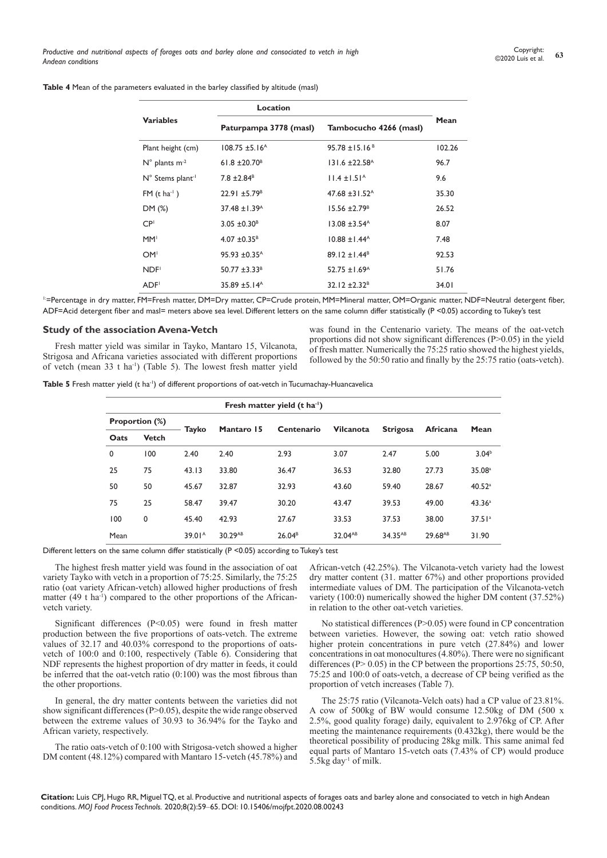|                                    | Location                       |                                |        |  |  |  |
|------------------------------------|--------------------------------|--------------------------------|--------|--|--|--|
| <b>Variables</b>                   | Paturpampa 3778 (masl)         | Tambocucho 4266 (masl)         | Mean   |  |  |  |
| Plant height (cm)                  | $108.75 \pm 5.16$ <sup>A</sup> | $95.78 \pm 15.16^B$            | 102.26 |  |  |  |
| $N^{\circ}$ plants m <sup>-2</sup> | $61.8 \pm 20.70$ <sup>B</sup>  | $131.6 \pm 22.58$ <sup>A</sup> | 96.7   |  |  |  |
| N° Stems plant <sup>-1</sup>       | $7.8 \pm 2.84$ <sup>B</sup>    | $11.4 \pm 1.51^{\circ}$        | 9.6    |  |  |  |
| $FM$ (t ha <sup>-1</sup> )         | $22.91 \pm 5.79$ <sup>B</sup>  | 47.68 $\pm$ 31.52 <sup>A</sup> | 35.30  |  |  |  |
| DM (%)                             | $37.48 \pm 1.39$ <sup>A</sup>  | $15.56 \pm 2.79$ <sup>B</sup>  | 26.52  |  |  |  |
| CP <sup>1</sup>                    | $3.05 \pm 0.30^8$              | $13.08 \pm 3.54$ <sup>A</sup>  | 8.07   |  |  |  |
| MM <sup>I</sup>                    | $4.07 \pm 0.35^{\circ}$        | $10.88 \pm 1.44^{\circ}$       | 7.48   |  |  |  |
| OM <sup>1</sup>                    | $95.93 \pm 0.35$ <sup>A</sup>  | $89.12 \pm 1.44^B$             | 92.53  |  |  |  |
| NDF <sup>1</sup>                   | $50.77 \pm 3.33^8$             | $52.75 \pm 1.69$ <sup>A</sup>  | 51.76  |  |  |  |
| <b>ADF</b>                         | $35.89 \pm 5.14^{\circ}$       | $32.12 \pm 2.32^B$             | 34.01  |  |  |  |

**Table 4** Mean of the parameters evaluated in the barley classified by altitude (masl)

1:=Percentage in dry matter, FM=Fresh matter, DM=Dry matter, CP=Crude protein, MM=Mineral matter, OM=Organic matter, NDF=Neutral detergent fiber, ADF=Acid detergent fiber and masl= meters above sea level. Different letters on the same column differ statistically (P <0.05) according to Tukey's test

#### **Study of the association Avena-Vetch**

Fresh matter yield was similar in Tayko, Mantaro 15, Vilcanota, Strigosa and Africana varieties associated with different proportions of vetch (mean 33 t ha-1) (Table 5). The lowest fresh matter yield was found in the Centenario variety. The means of the oat-vetch proportions did not show significant differences (P>0.05) in the yield of fresh matter. Numerically the 75:25 ratio showed the highest yields, followed by the 50:50 ratio and finally by the 25:75 ratio (oats-vetch).

Table 5 Fresh matter yield (t ha<sup>-1</sup>) of different proportions of oat-vetch in Tucumachay-Huancavelica

| Fresh matter yield $(t \, ha^{-1})$ |              |                    |            |                    |                  |                     |          |                    |  |
|-------------------------------------|--------------|--------------------|------------|--------------------|------------------|---------------------|----------|--------------------|--|
| <b>Proportion (%)</b>               |              |                    |            |                    |                  |                     |          |                    |  |
| Oats                                | <b>Vetch</b> | Tayko              | Mantaro 15 | Centenario         | <b>Vilcanota</b> | <b>Strigosa</b>     | Africana | Mean               |  |
| $\mathbf{0}$                        | 100          | 2.40               | 2.40       | 2.93               | 3.07             | 2.47                | 5.00     | 3.04 <sup>b</sup>  |  |
| 25                                  | 75           | 43.13              | 33.80      | 36.47              | 36.53            | 32.80               | 27.73    | 35.08 <sup>a</sup> |  |
| 50                                  | 50           | 45.67              | 32.87      | 32.93              | 43.60            | 59.40               | 28.67    | 40.52 <sup>a</sup> |  |
| 75                                  | 25           | 58.47              | 39.47      | 30.20              | 43.47            | 39.53               | 49.00    | 43.36 <sup>a</sup> |  |
| 100                                 | 0            | 45.40              | 42.93      | 27.67              | 33.53            | 37.53               | 38.00    | 37.51a             |  |
| Mean                                |              | 39.01 <sup>A</sup> | 30.29AB    | 26.04 <sup>B</sup> | 32.04AB          | 34.35 <sup>AB</sup> | 29.68AB  | 31.90              |  |

Different letters on the same column differ statistically (P <0.05) according to Tukey's test

The highest fresh matter yield was found in the association of oat variety Tayko with vetch in a proportion of 75:25. Similarly, the 75:25 ratio (oat variety African-vetch) allowed higher productions of fresh matter (49 t ha<sup>-1</sup>) compared to the other proportions of the Africanvetch variety.

Significant differences  $(P<0.05)$  were found in fresh matter production between the five proportions of oats-vetch. The extreme values of 32.17 and 40.03% correspond to the proportions of oatsvetch of 100:0 and 0:100, respectively (Table 6). Considering that NDF represents the highest proportion of dry matter in feeds, it could be inferred that the oat-vetch ratio (0:100) was the most fibrous than the other proportions.

In general, the dry matter contents between the varieties did not show significant differences (P>0.05), despite the wide range observed between the extreme values of 30.93 to 36.94% for the Tayko and African variety, respectively.

The ratio oats-vetch of 0:100 with Strigosa-vetch showed a higher DM content (48.12%) compared with Mantaro 15-vetch (45.78%) and African-vetch (42.25%). The Vilcanota-vetch variety had the lowest dry matter content (31. matter 67%) and other proportions provided intermediate values of DM. The participation of the Vilcanota-vetch variety (100:0) numerically showed the higher DM content (37.52%) in relation to the other oat-vetch varieties.

No statistical differences (P>0.05) were found in CP concentration between varieties. However, the sowing oat: vetch ratio showed higher protein concentrations in pure vetch (27.84%) and lower concentrations in oat monocultures  $(4.80\%)$ . There were no significant differences ( $P > 0.05$ ) in the CP between the proportions 25:75, 50:50, 75:25 and 100:0 of oats-vetch, a decrease of CP being verified as the proportion of vetch increases (Table 7).

The 25:75 ratio (Vilcanota-Velch oats) had a CP value of 23.81%. A cow of 500kg of BW would consume 12.50kg of DM (500 x 2.5%, good quality forage) daily, equivalent to 2.976kg of CP. After meeting the maintenance requirements (0.432kg), there would be the theoretical possibility of producing 28kg milk. This same animal fed equal parts of Mantaro 15-vetch oats (7.43% of CP) would produce 5.5kg day-1 of milk.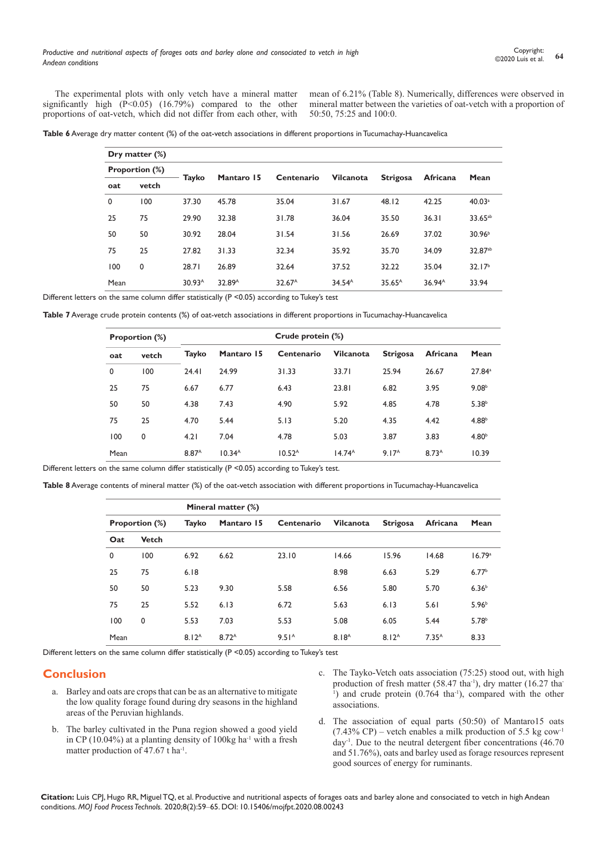The experimental plots with only vetch have a mineral matter significantly high  $(\overline{P} < 0.05)$   $(16.79%)$  compared to the other proportions of oat-vetch, which did not differ from each other, with

mean of 6.21% (Table 8). Numerically, differences were observed in mineral matter between the varieties of oat-vetch with a proportion of 50:50, 75:25 and 100:0.

| Table 6 Average dry matter content (%) of the oat-vetch associations in different proportions in Tucumachay-Huancavelica |  |  |  |  |
|--------------------------------------------------------------------------------------------------------------------------|--|--|--|--|
|--------------------------------------------------------------------------------------------------------------------------|--|--|--|--|

|      | Dry matter $(\%)$     |                    |                    |                                |                    |                    |                    |                     |  |  |  |
|------|-----------------------|--------------------|--------------------|--------------------------------|--------------------|--------------------|--------------------|---------------------|--|--|--|
|      | <b>Proportion (%)</b> |                    | Mantaro 15         |                                |                    |                    |                    |                     |  |  |  |
| oat  | vetch                 | Tayko              |                    | Centenario<br><b>Vilcanota</b> |                    | <b>Strigosa</b>    | Africana           | Mean                |  |  |  |
| 0    | 100                   | 37.30              | 45.78              | 35.04                          | 31.67              | 48.12              | 42.25              | 40.03 <sup>a</sup>  |  |  |  |
| 25   | 75                    | 29.90              | 32.38              | 31.78                          | 36.04              | 35.50              | 36.31              | 33.65 <sup>ab</sup> |  |  |  |
| 50   | 50                    | 30.92              | 28.04              | 31.54                          | 31.56              | 26.69              | 37.02              | 30.96 <sup>b</sup>  |  |  |  |
| 75   | 25                    | 27.82              | 31.33              | 32.34                          | 35.92              | 35.70              | 34.09              | 32.87ab             |  |  |  |
| 100  | $\mathbf 0$           | 28.71              | 26.89              | 32.64                          | 37.52              | 32.22              | 35.04              | 32.17 <sup>b</sup>  |  |  |  |
| Mean |                       | 30.93 <sup>A</sup> | 32.89 <sup>A</sup> | 32.67 <sup>A</sup>             | 34.54 <sup>A</sup> | $35.65^{\text{A}}$ | 36.94 <sup>A</sup> | 33.94               |  |  |  |

Different letters on the same column differ statistically (P < 0.05) according to Tukey's test

**Table 7** Average crude protein contents (%) of oat-vetch associations in different proportions in Tucumachay-Huancavelica

|      | <b>Proportion (%)</b> |                   |                    | Crude protein (%)  |                    |                   |                   |                   |
|------|-----------------------|-------------------|--------------------|--------------------|--------------------|-------------------|-------------------|-------------------|
| oat  | vetch                 | Tayko             | Mantaro 15         | Centenario         | <b>Vilcanota</b>   | <b>Strigosa</b>   | <b>Africana</b>   | Mean              |
| 0    | 100                   | 24.41             | 24.99              | 31.33              | 33.71              | 25.94             | 26.67             | $27.84^a$         |
| 25   | 75                    | 6.67              | 6.77               | 6.43               | 23.81              | 6.82              | 3.95              | 9.08 <sup>b</sup> |
| 50   | 50                    | 4.38              | 7.43               | 4.90               | 5.92               | 4.85              | 4.78              | 5.38 <sup>b</sup> |
| 75   | 25                    | 4.70              | 5.44               | 5.13               | 5.20               | 4.35              | 4.42              | 4.88 <sup>b</sup> |
| 100  | 0                     | 4.21              | 7.04               | 4.78               | 5.03               | 3.87              | 3.83              | 4.80 <sup>b</sup> |
| Mean |                       | 8.87 <sup>A</sup> | 10.34 <sup>A</sup> | 10.52 <sup>A</sup> | 14.74 <sup>A</sup> | 9.17 <sup>A</sup> | 8.73 <sup>A</sup> | 10.39             |

Different letters on the same column differ statistically (P <0.05) according to Tukey's test.

**Table 8** Average contents of mineral matter (%) of the oat-vetch association with different proportions in Tucumachay-Huancavelica

|      |                       |                   | Mineral matter (%) |                   |                   |                 |                   |                   |
|------|-----------------------|-------------------|--------------------|-------------------|-------------------|-----------------|-------------------|-------------------|
|      | <b>Proportion (%)</b> | Tayko             | Mantaro 15         | Centenario        | <b>Vilcanota</b>  | <b>Strigosa</b> | <b>Africana</b>   | Mean              |
| Oat  | <b>Vetch</b>          |                   |                    |                   |                   |                 |                   |                   |
| 0    | 100                   | 6.92              | 6.62               | 23.10             | 14.66             | 15.96           | 14.68             | 16.79a            |
| 25   | 75                    | 6.18              |                    |                   | 8.98              | 6.63            | 5.29              | 6.77 <sup>b</sup> |
| 50   | 50                    | 5.23              | 9.30               | 5.58              | 6.56              | 5.80            | 5.70              | 6.36 <sup>b</sup> |
| 75   | 25                    | 5.52              | 6.13               | 6.72              | 5.63              | 6.13            | 5.61              | 5.96 <sup>b</sup> |
| 100  | 0                     | 5.53              | 7.03               | 5.53              | 5.08              | 6.05            | 5.44              | 5.78 <sup>b</sup> |
| Mean |                       | 8.12 <sup>A</sup> | 8.72 <sup>A</sup>  | 9.51 <sup>A</sup> | 8.18 <sup>A</sup> | $8.12^{A}$      | 7.35 <sup>A</sup> | 8.33              |

Different letters on the same column differ statistically (P < 0.05) according to Tukey's test

### **Conclusion**

- a. Barley and oats are crops that can be as an alternative to mitigate the low quality forage found during dry seasons in the highland areas of the Peruvian highlands.
- b. The barley cultivated in the Puna region showed a good yield in CP (10.04%) at a planting density of 100kg ha-1 with a fresh matter production of 47.67 t ha<sup>-1</sup>.
- c. The Tayko-Vetch oats association (75:25) stood out, with high production of fresh matter (58.47 tha<sup>-1</sup>), dry matter (16.27 tha-<sup>1</sup>) and crude protein (0.764 tha<sup>-1</sup>), compared with the other associations.
- d. The association of equal parts (50:50) of Mantaro15 oats  $(7.43\% \text{ CP})$  – vetch enables a milk production of 5.5 kg cow<sup>-1</sup>  $day<sup>-1</sup>$ . Due to the neutral detergent fiber concentrations (46.70) and 51.76%), oats and barley used as forage resources represent good sources of energy for ruminants.